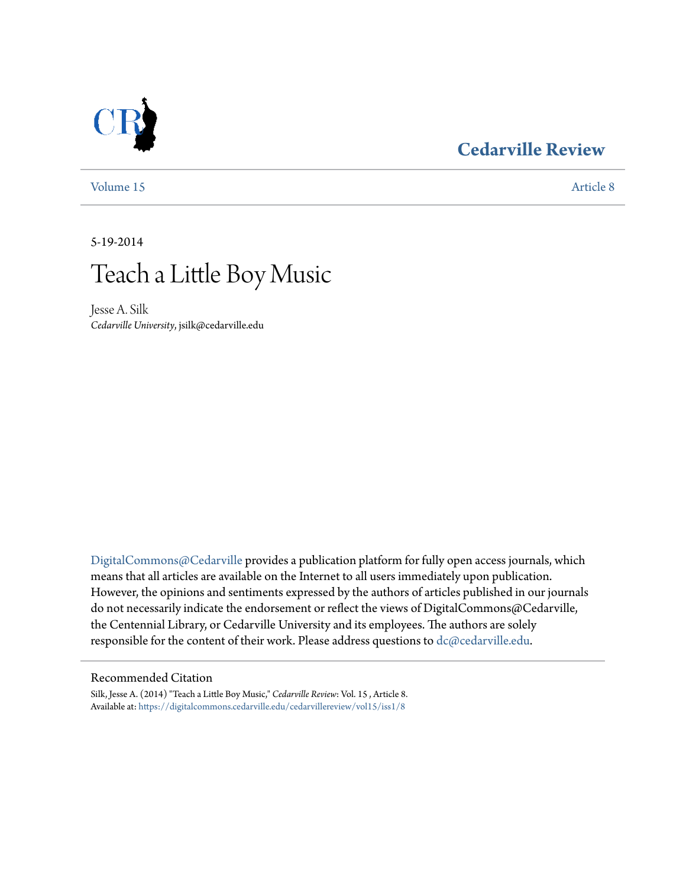### **[Cedarville Review](https://digitalcommons.cedarville.edu/cedarvillereview?utm_source=digitalcommons.cedarville.edu%2Fcedarvillereview%2Fvol15%2Fiss1%2F8&utm_medium=PDF&utm_campaign=PDFCoverPages)**



[Volume 15](https://digitalcommons.cedarville.edu/cedarvillereview/vol15?utm_source=digitalcommons.cedarville.edu%2Fcedarvillereview%2Fvol15%2Fiss1%2F8&utm_medium=PDF&utm_campaign=PDFCoverPages) [Article 8](https://digitalcommons.cedarville.edu/cedarvillereview/vol15/iss1/8?utm_source=digitalcommons.cedarville.edu%2Fcedarvillereview%2Fvol15%2Fiss1%2F8&utm_medium=PDF&utm_campaign=PDFCoverPages)

5-19-2014

# Teach a Little Boy Music

Jesse A. Silk *Cedarville University*, jsilk@cedarville.edu

[DigitalCommons@Cedarville](http://digitalcommons.cedarville.edu) provides a publication platform for fully open access journals, which means that all articles are available on the Internet to all users immediately upon publication. However, the opinions and sentiments expressed by the authors of articles published in our journals do not necessarily indicate the endorsement or reflect the views of DigitalCommons@Cedarville, the Centennial Library, or Cedarville University and its employees. The authors are solely responsible for the content of their work. Please address questions to [dc@cedarville.edu](mailto:dc@cedarville.edu).

#### Recommended Citation

Silk, Jesse A. (2014) "Teach a Little Boy Music," *Cedarville Review*: Vol. 15 , Article 8. Available at: [https://digitalcommons.cedarville.edu/cedarvillereview/vol15/iss1/8](https://digitalcommons.cedarville.edu/cedarvillereview/vol15/iss1/8?utm_source=digitalcommons.cedarville.edu%2Fcedarvillereview%2Fvol15%2Fiss1%2F8&utm_medium=PDF&utm_campaign=PDFCoverPages)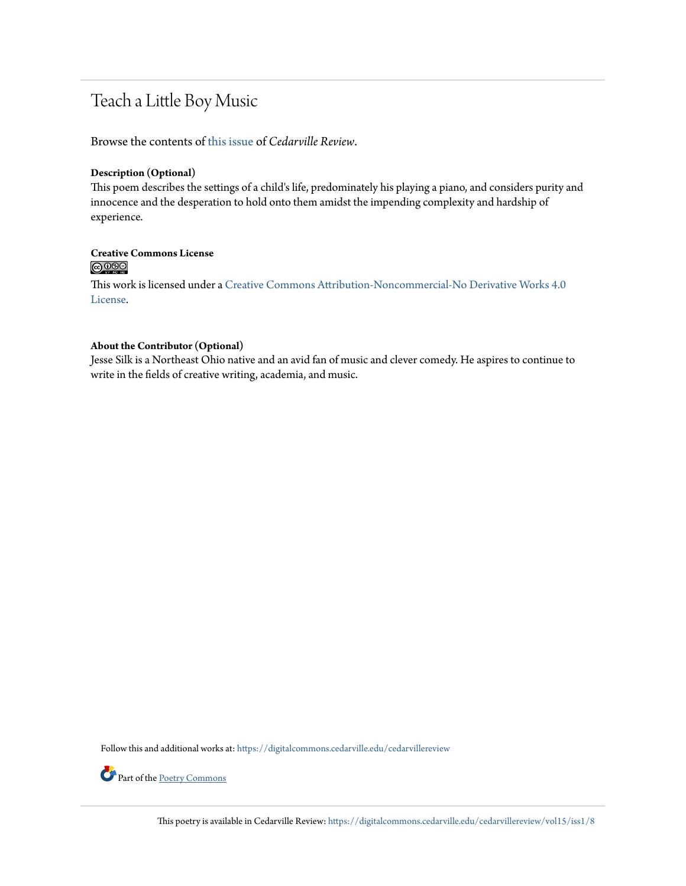## Teach a Little Boy Music

Browse the contents of [this issue](https://digitalcommons.cedarville.edu/cedarvillereview/vol15/iss1) of *Cedarville Review*.

#### **Description (Optional)**

This poem describes the settings of a child's life, predominately his playing a piano, and considers purity and innocence and the desperation to hold onto them amidst the impending complexity and hardship of experience.

## **Creative Commons License**<br> **C** 090

This work is licensed under a [Creative Commons Attribution-Noncommercial-No Derivative Works 4.0](http://creativecommons.org/licenses/by-nc-nd/4.0/) [License.](http://creativecommons.org/licenses/by-nc-nd/4.0/)

#### **About the Contributor (Optional)**

Jesse Silk is a Northeast Ohio native and an avid fan of music and clever comedy. He aspires to continue to write in the fields of creative writing, academia, and music.

Follow this and additional works at: [https://digitalcommons.cedarville.edu/cedarvillereview](https://digitalcommons.cedarville.edu/cedarvillereview?utm_source=digitalcommons.cedarville.edu%2Fcedarvillereview%2Fvol15%2Fiss1%2F8&utm_medium=PDF&utm_campaign=PDFCoverPages)



Part of the [Poetry Commons](http://network.bepress.com/hgg/discipline/1153?utm_source=digitalcommons.cedarville.edu%2Fcedarvillereview%2Fvol15%2Fiss1%2F8&utm_medium=PDF&utm_campaign=PDFCoverPages)